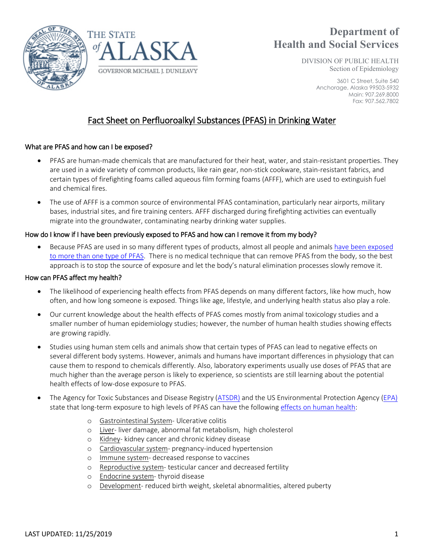



# **Department of Health and Social Services**

DIVISION OF PUBLIC HEALTH Section of Epidemiology

> 3601 C Street, Suite 540 Anchorage, Alaska 99503-5932 Main: 907.269.8000 Fax: 907.562.7802

# Fact Sheet on Perfluoroalkyl Substances (PFAS) in Drinking Water

# What are PFAS and how can I be exposed?

- PFAS are human-made chemicals that are manufactured for their heat, water, and stain-resistant properties. They are used in a wide variety of common products, like rain gear, non-stick cookware, stain-resistant fabrics, and certain types of firefighting foams called aqueous film forming foams (AFFF), which are used to extinguish fuel and chemical fires.
- The use of AFFF is a common source of environmental PFAS contamination, particularly near airports, military bases, industrial sites, and fire training centers. AFFF discharged during firefighting activities can eventually migrate into the groundwater, contaminating nearby drinking water supplies.

# How do I know if I have been previously exposed to PFAS and how can I remove it from my body?

• Because PFAS are used in so many different types of products, almost all people and animal[s have been exposed](https://www.atsdr.cdc.gov/pfas/pfas-blood-testing.html)  [to more than one type of PFAS.](https://www.atsdr.cdc.gov/pfas/pfas-blood-testing.html) There is no medical technique that can remove PFAS from the body, so the best approach is to stop the source of exposure and let the body's natural elimination processes slowly remove it.

## How can PFAS affect my health?

- The likelihood of experiencing health effects from PFAS depends on many different factors, like how much, how often, and how long someone is exposed. Things like age, lifestyle, and underlying health status also play a role.
- Our current knowledge about the health effects of PFAS comes mostly from animal toxicology studies and a smaller number of human epidemiology studies; however, the number of human health studies showing effects are growing rapidly.
- Studies using human stem cells and animals show that certain types of PFAS can lead to negative effects on several different body systems. However, animals and humans have important differences in physiology that can cause them to respond to chemicals differently. Also, laboratory experiments usually use doses of PFAS that are much higher than the average person is likely to experience, so scientists are still learning about the potential health effects of low-dose exposure to PFAS.
- The Agency for Toxic Substances and Disease Registry [\(ATSDR\)](https://www.atsdr.cdc.gov/ToxProfiles/tp.asp?id=1117&tid=237) and the US Environmental Protection Agency [\(EPA\)](https://www.epa.gov/pfas/basic-information-pfas) state that long-term exposure to high levels of PFAS can have the following [effects on human health:](http://www.c8sciencepanel.org/prob_link.html)
	- o Gastrointestinal System- Ulcerative colitis
	- o Liver- liver damage, abnormal fat metabolism, high cholesterol
	- o Kidney- kidney cancer and chronic kidney disease
	- o Cardiovascular system- pregnancy-induced hypertension
	- o Immune system- decreased response to vaccines
	- o Reproductive system- testicular cancer and decreased fertility
	- o Endocrine system- thyroid disease
	- o Development- reduced birth weight, skeletal abnormalities, altered puberty